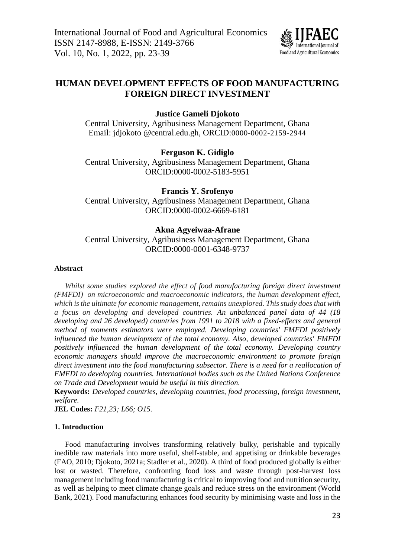

# **HUMAN DEVELOPMENT EFFECTS OF FOOD MANUFACTURING FOREIGN DIRECT INVESTMENT**

**Justice Gameli Djokoto**

Central University, Agribusiness Management Department, Ghana Email: [jdjokoto.@central.edu.gh,](mailto:jdjokoto.@central.edu.gh) ORCID:0000-0002-2159-2944

**Ferguson K. Gidiglo**

Central University, Agribusiness Management Department, Ghana ORCID:0000-0002-5183-5951

**Francis Y. Srofenyo** Central University, Agribusiness Management Department, Ghana ORCID:0000-0002-6669-6181

## **Akua Agyeiwaa-Afrane**

Central University, Agribusiness Management Department, Ghana ORCID:0000-0001-6348-9737

#### **Abstract**

*Whilst some studies explored the effect of food manufacturing foreign direct investment (FMFDI) on microeconomic and macroeconomic indicators, the human development effect, which is the ultimate for economic management, remains unexplored. This study does that with a focus on developing and developed countries. An unbalanced panel data of 44 (18 developing and 26 developed) countries from 1991 to 2018 with a fixed-effects and general method of moments estimators were employed. Developing countries' FMFDI positively influenced the human development of the total economy. Also, developed countries' FMFDI positively influenced the human development of the total economy. Developing country economic managers should improve the macroeconomic environment to promote foreign direct investment into the food manufacturing subsector. There is a need for a reallocation of FMFDI to developing countries. International bodies such as the United Nations Conference on Trade and Development would be useful in this direction.* 

**Keywords:** *Developed countries, developing countries, food processing, foreign investment, welfare.*

**JEL Codes:** *F21,23; L66; O15.*

#### **1. Introduction**

Food manufacturing involves transforming relatively bulky, perishable and typically inedible raw materials into more useful, shelf-stable, and appetising or drinkable beverages (FAO, 2010; Djokoto, 2021a; Stadler et al., 2020). A third of food produced globally is either lost or wasted. Therefore, confronting food loss and waste through post-harvest loss management including food manufacturing is critical to improving food and nutrition security, as well as helping to meet climate change goals and reduce stress on the environment (World Bank, 2021). Food manufacturing enhances food security by minimising waste and loss in the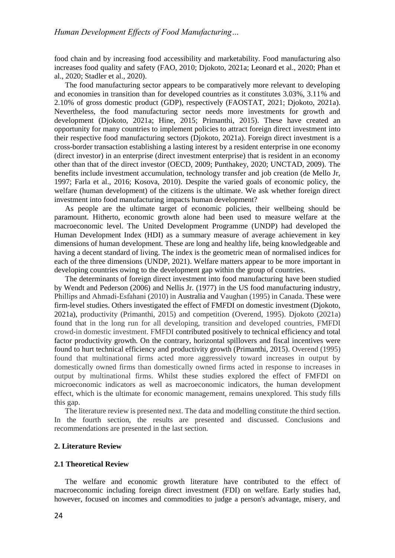food chain and by increasing food accessibility and marketability. Food manufacturing also increases food quality and safety (FAO, 2010; Djokoto, 2021a; Leonard et al., 2020; Phan et al., 2020; Stadler et al., 2020).

The food manufacturing sector appears to be comparatively more relevant to developing and economies in transition than for developed countries as it constitutes 3.03%, 3.11% and 2.10% of gross domestic product (GDP), respectively (FAOSTAT, 2021; Djokoto, 2021a). Nevertheless, the food manufacturing sector needs more investments for growth and development (Djokoto, 2021a; Hine, 2015; Primanthi, 2015). These have created an opportunity for many countries to implement policies to attract foreign direct investment into their respective food manufacturing sectors (Djokoto, 2021a). Foreign direct investment is a cross-border transaction establishing a lasting interest by a resident enterprise in one economy (direct investor) in an enterprise (direct investment enterprise) that is resident in an economy other than that of the direct investor (OECD, 2009; Punthakey, 2020; UNCTAD, 2009). The benefits include investment accumulation, technology transfer and job creation (de Mello Jr, 1997; Farla et al., 2016; Kosova, 2010). Despite the varied goals of economic policy, the welfare (human development) of the citizens is the ultimate. We ask whether foreign direct investment into food manufacturing impacts human development?

As people are the ultimate target of economic policies, their wellbeing should be paramount. Hitherto, economic growth alone had been used to measure welfare at the macroeconomic level. The United Development Programme (UNDP) had developed the Human Development Index (HDI) as a summary measure of average achievement in key dimensions of human development. These are long and healthy life, being knowledgeable and having a decent standard of living. The index is the geometric mean of normalised indices for each of the three dimensions (UNDP, 2021). Welfare matters appear to be more important in developing countries owing to the development gap within the group of countries.

The determinants of foreign direct investment into food manufacturing have been studied by Wendt and Pederson (2006) and Nellis Jr. (1977) in the US food manufacturing industry, Phillips and Ahmadi‐Esfahani (2010) in Australia and Vaughan (1995) in Canada. These were firm-level studies. Others investigated the effect of FMFDI on domestic investment (Djokoto, 2021a), productivity (Primanthi, 2015) and competition (Overend, 1995). Djokoto (2021a) found that in the long run for all developing, transition and developed countries, FMFDI crowd-in domestic investment. FMFDI contributed positively to technical efficiency and total factor productivity growth. On the contrary, horizontal spillovers and fiscal incentives were found to hurt technical efficiency and productivity growth (Primanthi, 2015). Overend (1995) found that multinational firms acted more aggressively toward increases in output by domestically owned firms than domestically owned firms acted in response to increases in output by multinational firms. Whilst these studies explored the effect of FMFDI on microeconomic indicators as well as macroeconomic indicators, the human development effect, which is the ultimate for economic management, remains unexplored. This study fills this gap.

The literature review is presented next. The data and modelling constitute the third section. In the fourth section, the results are presented and discussed. Conclusions and recommendations are presented in the last section.

#### **2. Literature Review**

## **2.1 Theoretical Review**

The welfare and economic growth literature have contributed to the effect of macroeconomic including foreign direct investment (FDI) on welfare. Early studies had, however, focused on incomes and commodities to judge a person's advantage, misery, and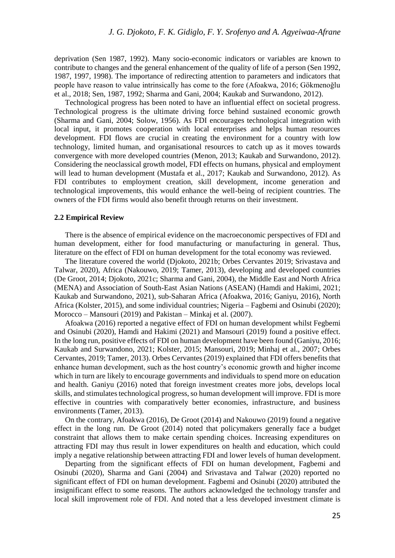deprivation (Sen 1987, 1992). Many socio-economic indicators or variables are known to contribute to changes and the general enhancement of the quality of life of a person (Sen 1992, 1987, 1997, 1998). The importance of redirecting attention to parameters and indicators that people have reason to value intrinsically has come to the fore (Afoakwa, 2016; Gökmenoğlu et al., 2018; Sen, 1987, 1992; Sharma and Gani, 2004; Kaukab and Surwandono, 2012).

Technological progress has been noted to have an influential effect on societal progress. Technological progress is the ultimate driving force behind sustained economic growth (Sharma and Gani, 2004; Solow, 1956). As FDI encourages technological integration with local input, it promotes cooperation with local enterprises and helps human resources development. FDI flows are crucial in creating the environment for a country with low technology, limited human, and organisational resources to catch up as it moves towards convergence with more developed countries (Menon, 2013; Kaukab and Surwandono, 2012). Considering the neoclassical growth model, FDI effects on humans, physical and employment will lead to human development (Mustafa et al., 2017; Kaukab and Surwandono, 2012). As FDI contributes to employment creation, skill development, income generation and technological improvements, this would enhance the well-being of recipient countries. The owners of the FDI firms would also benefit through returns on their investment.

#### **2.2 Empirical Review**

There is the absence of empirical evidence on the macroeconomic perspectives of FDI and human development, either for food manufacturing or manufacturing in general. Thus, literature on the effect of FDI on human development for the total economy was reviewed.

The literature covered the world (Djokoto, 2021b; Orbes Cervantes 2019; Srivastava and Talwar, 2020), Africa (Nakouwo, 2019; Tamer, 2013), developing and developed countries (De Groot, 2014; Djokoto, 2021c; Sharma and Gani, 2004), the Middle East and North Africa (MENA) and Association of South-East Asian Nations (ASEAN) (Hamdi and Hakimi, 2021; Kaukab and Surwandono, 2021), sub-Saharan Africa (Afoakwa, 2016; Ganiyu, 2016), North Africa (Kolster, 2015), and some individual countries; Nigeria – Fagbemi and Osinubi (2020); Morocco – Mansouri (2019) and Pakistan – Minkaj et al. (2007).

Afoakwa (2016) reported a negative effect of FDI on human development whilst Fegbemi and Osinubi (2020), Hamdi and Hakimi (2021) and Mansouri (2019) found a positive effect. In the long run, positive effects of FDI on human development have been found (Ganiyu, 2016; Kaukab and Surwandono, 2021; Kolster, 2015; Mansouri, 2019; Minhaj et al., 2007; Orbes Cervantes, 2019; Tamer, 2013). Orbes Cervantes (2019) explained that FDI offers benefits that enhance human development, such as the host country's economic growth and higher income which in turn are likely to encourage governments and individuals to spend more on education and health. Ganiyu (2016) noted that foreign investment creates more jobs, develops local skills, and stimulates technological progress, so human development will improve. FDI is more effective in countries with comparatively better economies, infrastructure, and business environments (Tamer, 2013).

On the contrary, Afoakwa (2016), De Groot (2014) and Nakouwo (2019) found a negative effect in the long run. De Groot (2014) noted that policymakers generally face a budget constraint that allows them to make certain spending choices. Increasing expenditures on attracting FDI may thus result in lower expenditures on health and education, which could imply a negative relationship between attracting FDI and lower levels of human development.

Departing from the significant effects of FDI on human development, Fagbemi and Osinubi (2020), Sharma and Gani (2004) and Srivastava and Talwar (2020) reported no significant effect of FDI on human development. Fagbemi and Osinubi (2020) attributed the insignificant effect to some reasons. The authors acknowledged the technology transfer and local skill improvement role of FDI. And noted that a less developed investment climate is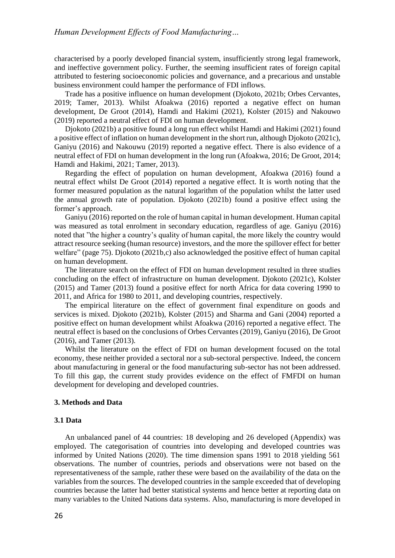characterised by a poorly developed financial system, insufficiently strong legal framework, and ineffective government policy. Further, the seeming insufficient rates of foreign capital attributed to festering socioeconomic policies and governance, and a precarious and unstable business environment could hamper the performance of FDI inflows.

Trade has a positive influence on human development (Djokoto, 2021b; Orbes Cervantes, 2019; Tamer, 2013). Whilst Afoakwa (2016) reported a negative effect on human development, De Groot (2014), Hamdi and Hakimi (2021), Kolster (2015) and Nakouwo (2019) reported a neutral effect of FDI on human development.

Djokoto (2021b) a positive found a long run effect whilst Hamdi and Hakimi (2021) found a positive effect of inflation on human development in the short run, although Djokoto (2021c), Ganiyu (2016) and Nakouwu (2019) reported a negative effect. There is also evidence of a neutral effect of FDI on human development in the long run (Afoakwa, 2016; De Groot, 2014; Hamdi and Hakimi, 2021; Tamer, 2013).

Regarding the effect of population on human development, Afoakwa (2016) found a neutral effect whilst De Groot (2014) reported a negative effect. It is worth noting that the former measured population as the natural logarithm of the population whilst the latter used the annual growth rate of population. Djokoto (2021b) found a positive effect using the former's approach.

Ganiyu (2016) reported on the role of human capital in human development. Human capital was measured as total enrolment in secondary education, regardless of age. Ganiyu (2016) noted that "the higher a country's quality of human capital, the more likely the country would attract resource seeking (human resource) investors, and the more the spillover effect for better welfare" (page 75). Djokoto (2021b,c) also acknowledged the positive effect of human capital on human development.

The literature search on the effect of FDI on human development resulted in three studies concluding on the effect of infrastructure on human development. Djokoto (2021c), Kolster (2015) and Tamer (2013) found a positive effect for north Africa for data covering 1990 to 2011, and Africa for 1980 to 2011, and developing countries, respectively.

The empirical literature on the effect of government final expenditure on goods and services is mixed. Djokoto (2021b), Kolster (2015) and Sharma and Gani (2004) reported a positive effect on human development whilst Afoakwa (2016) reported a negative effect. The neutral effect is based on the conclusions of Orbes Cervantes (2019), Ganiyu (2016), De Groot (2016), and Tamer (2013).

Whilst the literature on the effect of FDI on human development focused on the total economy, these neither provided a sectoral nor a sub-sectoral perspective. Indeed, the concern about manufacturing in general or the food manufacturing sub-sector has not been addressed. To fill this gap, the current study provides evidence on the effect of FMFDI on human development for developing and developed countries.

### **3. Methods and Data**

#### **3.1 Data**

An unbalanced panel of 44 countries: 18 developing and 26 developed (Appendix) was employed. The categorisation of countries into developing and developed countries was informed by United Nations (2020). The time dimension spans 1991 to 2018 yielding 561 observations. The number of countries, periods and observations were not based on the representativeness of the sample, rather these were based on the availability of the data on the variables from the sources. The developed countries in the sample exceeded that of developing countries because the latter had better statistical systems and hence better at reporting data on many variables to the United Nations data systems. Also, manufacturing is more developed in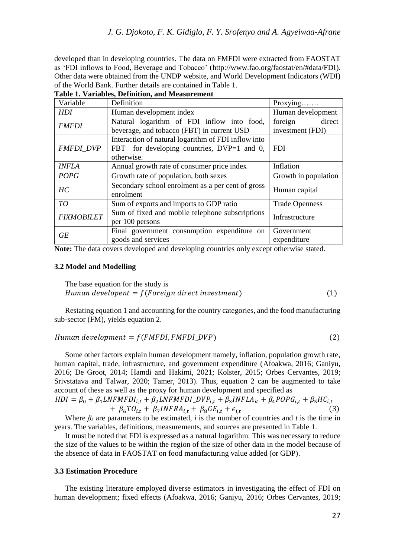developed than in developing countries. The data on FMFDI were extracted from FAOSTAT as 'FDI inflows to Food, Beverage and Tobacco' [\(http://www.fao.org/faostat/en/#data/FDI\)](http://www.fao.org/faostat/en/#data/FDI). Other data were obtained from the UNDP website, and World Development Indicators (WDI) of the World Bank. Further details are contained in Table 1.

**Table 1. Variables, Definition, and Measurement**

| Variable          | Definition                                                                                                      | Proxying                              |  |
|-------------------|-----------------------------------------------------------------------------------------------------------------|---------------------------------------|--|
| <b>HDI</b>        | Human development index                                                                                         | Human development                     |  |
| <b>FMFDI</b>      | Natural logarithm of FDI inflow into food,<br>beverage, and tobacco (FBT) in current USD                        | foreign<br>direct<br>investment (FDI) |  |
| <b>FMFDI DVP</b>  | Interaction of natural logarithm of FDI inflow into<br>FBT for developing countries, DVP=1 and 0,<br>otherwise. | <b>FDI</b>                            |  |
| <b>INFLA</b>      | Annual growth rate of consumer price index                                                                      | Inflation                             |  |
| <b>POPG</b>       | Growth rate of population, both sexes                                                                           | Growth in population                  |  |
| HC                | Secondary school enrolment as a per cent of gross<br>enrolment                                                  | Human capital                         |  |
| TO                | Sum of exports and imports to GDP ratio                                                                         | <b>Trade Openness</b>                 |  |
| <b>FIXMOBILET</b> | Sum of fixed and mobile telephone subscriptions<br>per 100 persons                                              | Infrastructure                        |  |
| GE                | Final government consumption expenditure on<br>goods and services                                               | Government<br>expenditure             |  |

**Note:** The data covers developed and developing countries only except otherwise stated.

#### **3.2 Model and Modelling**

The base equation for the study is Human developent =  $f(Foreign\ direct\ investment)$  (1)

Restating equation 1 and accounting for the country categories, and the food manufacturing sub-sector (FM), yields equation 2.

$$
Human\,\,development = f(FMFDI, FMFDI_DVP)
$$
\n(2)

Some other factors explain human development namely, inflation, population growth rate, human capital, trade, infrastructure, and government expenditure (Afoakwa, 2016; Ganiyu, 2016; De Groot, 2014; Hamdi and Hakimi, 2021; Kolster, 2015; Orbes Cervantes, 2019; Srivstatava and Talwar, 2020; Tamer, 2013). Thus, equation 2 can be augmented to take account of these as well as the proxy for human development and specified as

$$
HDI = \beta_0 + \beta_1 LNFMFDI_{i,t} + \beta_2 LNFMFDI_DVP_{i,t} + \beta_3 INFLA_{it} + \beta_4 POPG_{i,t} + \beta_5 HC_{i,t} + \beta_6 TO_{i,t} + \beta_7 INFRA_{i,t} + \beta_8 GE_{i,t} + \epsilon_{i,t}
$$
\n(3)

Where  $\beta_k$  are parameters to be estimated, *i* is the number of countries and *t* is the time in years. The variables, definitions, measurements, and sources are presented in Table 1.

It must be noted that FDI is expressed as a natural logarithm. This was necessary to reduce the size of the values to be within the region of the size of other data in the model because of the absence of data in FAOSTAT on food manufacturing value added (or GDP).

## **3.3 Estimation Procedure**

The existing literature employed diverse estimators in investigating the effect of FDI on human development; fixed effects (Afoakwa, 2016; Ganiyu, 2016; Orbes Cervantes, 2019;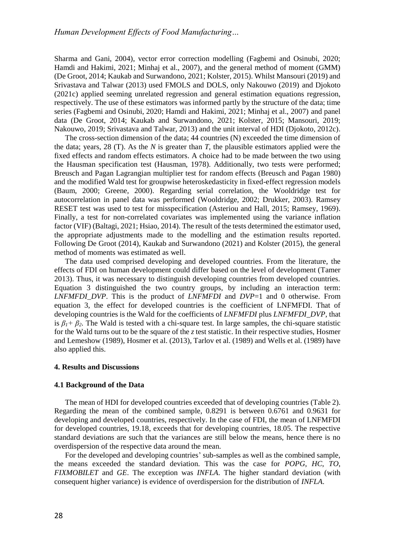Sharma and Gani, 2004), vector error correction modelling (Fagbemi and Osinubi, 2020; Hamdi and Hakimi, 2021; Minhaj et al., 2007), and the general method of moment (GMM) (De Groot, 2014; Kaukab and Surwandono, 2021; Kolster, 2015). Whilst Mansouri (2019) and Srivastava and Talwar (2013) used FMOLS and DOLS, only Nakouwo (2019) and Djokoto (2021c) applied seeming unrelated regression and general estimation equations regression, respectively. The use of these estimators was informed partly by the structure of the data; time series (Fagbemi and Osinubi, 2020; Hamdi and Hakimi, 2021; Minhaj et al., 2007) and panel data (De Groot, 2014; Kaukab and Surwandono, 2021; Kolster, 2015; Mansouri, 2019; Nakouwo, 2019; Srivastava and Talwar, 2013) and the unit interval of HDI (Djokoto, 2012c).

The cross-section dimension of the data; 44 countries (N) exceeded the time dimension of the data; years, 28 (T). As the *N* is greater than *T*, the plausible estimators applied were the fixed effects and random effects estimators. A choice had to be made between the two using the Hausman specification test (Hausman, 1978). Additionally, two tests were performed; Breusch and Pagan Lagrangian multiplier test for random effects (Breusch and Pagan 1980) and the modified Wald test for groupwise heteroskedasticity in fixed-effect regression models (Baum, 2000; Greene, 2000). Regarding serial correlation, the Wooldridge test for autocorrelation in panel data was performed (Wooldridge, 2002; Drukker, 2003). Ramsey RESET test was used to test for misspecification (Asteriou and Hall, 2015; Ramsey, 1969). Finally, a test for non-correlated covariates was implemented using the variance inflation factor (VIF) (Baltagi, 2021; Hsiao, 2014). The result of the tests determined the estimator used, the appropriate adjustments made to the modelling and the estimation results reported. Following De Groot (2014), Kaukab and Surwandono (2021) and Kolster (2015), the general method of moments was estimated as well.

The data used comprised developing and developed countries. From the literature, the effects of FDI on human development could differ based on the level of development (Tamer 2013). Thus, it was necessary to distinguish developing countries from developed countries. Equation 3 distinguished the two country groups, by including an interaction term: *LNFMFDI\_DVP*. This is the product of *LNFMFDI* and *DVP*=1 and 0 otherwise. From equation 3, the effect for developed countries is the coefficient of LNFMFDI. That of developing countries is the Wald for the coefficients of *LNFMFDI* plus *LNFMFDI\_DVP*, that is  $\beta_1$ <sup>+</sup>  $\beta_2$ . The Wald is tested with a chi-square test. In large samples, the chi-square statistic for the Wald turns out to be the square of the *z* test statistic. In their respective studies, Hosmer and Lemeshow (1989), Hosmer et al. (2013), Tarlov et al. (1989) and Wells et al. (1989) have also applied this.

#### **4. Results and Discussions**

#### **4.1 Background of the Data**

The mean of HDI for developed countries exceeded that of developing countries (Table 2). Regarding the mean of the combined sample, 0.8291 is between 0.6761 and 0.9631 for developing and developed countries, respectively. In the case of FDI, the mean of LNFMFDI for developed countries, 19.18, exceeds that for developing countries, 18.05. The respective standard deviations are such that the variances are still below the means, hence there is no overdispersion of the respective data around the mean.

For the developed and developing countries' sub-samples as well as the combined sample, the means exceeded the standard deviation. This was the case for *POPG*, *HC*, *TO*, *FIXMOBILET* and *GE*. The exception was *INFLA*. The higher standard deviation (with consequent higher variance) is evidence of overdispersion for the distribution of *INFLA*.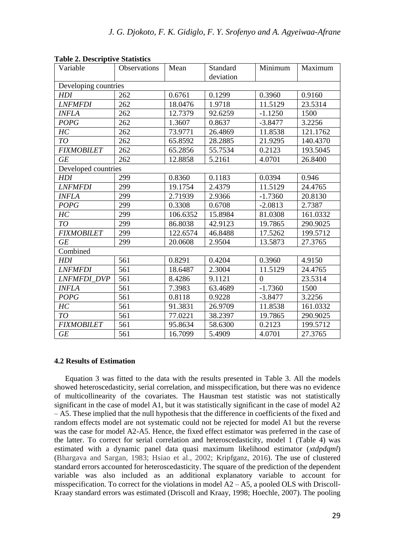| Variable              | Observations | Mean     | Standard  | Minimum   | Maximum  |
|-----------------------|--------------|----------|-----------|-----------|----------|
|                       |              |          | deviation |           |          |
| Developing countries  |              |          |           |           |          |
| HDI                   | 262          | 0.6761   | 0.1299    | 0.3960    | 0.9160   |
| <i><b>LNFMFDI</b></i> | 262          | 18.0476  | 1.9718    | 11.5129   | 23.5314  |
| <b>INFLA</b>          | 262          | 12.7379  | 92.6259   | $-1.1250$ | 1500     |
| <b>POPG</b>           | 262          | 1.3607   | 0.8637    | $-3.8477$ | 3.2256   |
| HC                    | 262          | 73.9771  | 26.4869   | 11.8538   | 121.1762 |
| TO                    | 262          | 65.8592  | 28.2885   | 21.9295   | 140.4370 |
| <b>FIXMOBILET</b>     | 262          | 65.2856  | 55.7534   | 0.2123    | 193.5045 |
| <b>GE</b>             | 262          | 12.8858  | 5.2161    | 4.0701    | 26.8400  |
| Developed countries   |              |          |           |           |          |
| HDI                   | 299          | 0.8360   | 0.1183    | 0.0394    | 0.946    |
| <b>LNFMFDI</b>        | 299          | 19.1754  | 2.4379    | 11.5129   | 24.4765  |
| <b>INFLA</b>          | 299          | 2.71939  | 2.9366    | $-1.7360$ | 20.8130  |
| <b>POPG</b>           | 299          | 0.3308   | 0.6708    | $-2.0813$ | 2.7387   |
| HC                    | 299          | 106.6352 | 15.8984   | 81.0308   | 161.0332 |
| TO                    | 299          | 86.8038  | 42.9123   | 19.7865   | 290.9025 |
| <b>FIXMOBILET</b>     | 299          | 122.6574 | 46.8488   | 17.5262   | 199.5712 |
| <b>GE</b>             | 299          | 20.0608  | 2.9504    | 13.5873   | 27.3765  |
| Combined              |              |          |           |           |          |
| <b>HDI</b>            | 561          | 0.8291   | 0.4204    | 0.3960    | 4.9150   |
| <b>LNFMFDI</b>        | 561          | 18.6487  | 2.3004    | 11.5129   | 24.4765  |
| <b>LNFMFDI DVP</b>    | 561          | 8.4286   | 9.1121    | $\Omega$  | 23.5314  |
| <b>INFLA</b>          | 561          | 7.3983   | 63.4689   | $-1.7360$ | 1500     |
| <b>POPG</b>           | 561          | 0.8118   | 0.9228    | $-3.8477$ | 3.2256   |
| HС                    | 561          | 91.3831  | 26.9709   | 11.8538   | 161.0332 |
| TO                    | 561          | 77.0221  | 38.2397   | 19.7865   | 290.9025 |
| <b>FIXMOBILET</b>     | 561          | 95.8634  | 58.6300   | 0.2123    | 199.5712 |
| <b>GE</b>             | 561          | 16.7099  | 5.4909    | 4.0701    | 27.3765  |

**Table 2. Descriptive Statistics**

#### **4.2 Results of Estimation**

Equation 3 was fitted to the data with the results presented in Table 3. All the models showed heteroscedasticity, serial correlation, and misspecification, but there was no evidence of multicollinearity of the covariates. The Hausman test statistic was not statistically significant in the case of model A1, but it was statistically significant in the case of model A2 – A5. These implied that the null hypothesis that the difference in coefficients of the fixed and random effects model are not systematic could not be rejected for model A1 but the reverse was the case for model A2-A5. Hence, the fixed effect estimator was preferred in the case of the latter. To correct for serial correlation and heteroscedasticity, model 1 (Table 4) was estimated with a dynamic panel data quasi maximum likelihood estimator (*xtdpdqml*) (Bhargava and Sargan, 1983; Hsiao et al., 2002; Kripfganz, 2016). The use of clustered standard errors accounted for heteroscedasticity. The square of the prediction of the dependent variable was also included as an additional explanatory variable to account for misspecification. To correct for the violations in model  $A2 - A5$ , a pooled OLS with Driscoll-Kraay standard errors was estimated (Driscoll and Kraay, 1998; Hoechle, 2007). The pooling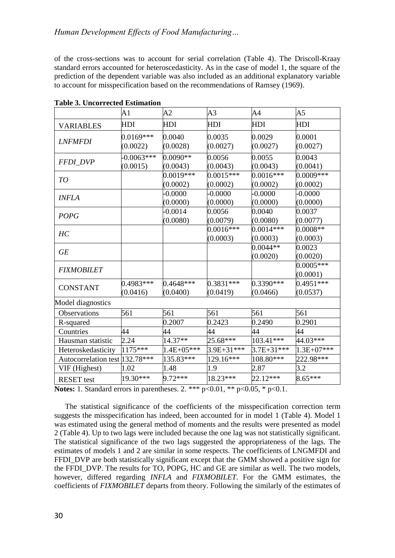## *Human Development Effects of Food Manufacturing…*

of the cross-sections was to account for serial correlation (Table 4). The Driscoll-Kraay standard errors accounted for heteroscedasticity. As in the case of model 1, the square of the prediction of the dependent variable was also included as an additional explanatory variable to account for misspecification based on the recommendations of Ramsey (1969).

|                                | A1                       | A2                      | A3                      | A4                      | A5                      |
|--------------------------------|--------------------------|-------------------------|-------------------------|-------------------------|-------------------------|
| <b>VARIABLES</b>               | HDI                      | HDI                     | HDI                     | HDI                     | HDI                     |
| <b>LNFMFDI</b>                 | $0.0169***$<br>(0.0022)  | 0.0040<br>(0.0028)      | 0.0035<br>(0.0027)      | 0.0029<br>(0.0027)      | 0.0001<br>(0.0027)      |
| <b>FFDI_DVP</b>                | $-0.0063***$<br>(0.0015) | $0.0090**$<br>(0.0043)  | 0.0056<br>(0.0043)      | 0.0055<br>(0.0043)      | 0.0043<br>(0.0041)      |
| TO                             |                          | $0.0019***$<br>(0.0002) | $0.0015***$<br>(0.0002) | $0.0016***$<br>(0.0002) | 0.0009***<br>(0.0002)   |
| <b>INFLA</b>                   |                          | 0.0000<br>(0.0000)      | $-0.0000$<br>(0.0000)   | $-0.0000$<br>(0.0000)   | $-0.0000$<br>(0.0000)   |
| <b>POPG</b>                    |                          | $-0.0014$<br>(0.0080)   | 0.0056<br>(0.0079)      | 0.0040<br>(0.0080)      | 0.0037<br>(0.0077)      |
| HC                             |                          |                         | $0.0016***$<br>(0.0003) | $0.0014***$<br>(0.0003) | $0.0008**$<br>(0.0003)  |
| <b>GE</b>                      |                          |                         |                         | $0.0044**$<br>(0.0020)  | 0.0023<br>(0.0020)      |
| <b>FIXMOBILET</b>              |                          |                         |                         |                         | $0.0005***$<br>(0.0001) |
| <b>CONSTANT</b>                | $0.4983***$<br>(0.0416)  | $0.4648***$<br>(0.0400) | $0.3831***$<br>(0.0419) | 0.3390***<br>(0.0466)   | 0.4951***<br>(0.0537)   |
| Model diagnostics              |                          |                         |                         |                         |                         |
| Observations                   | 561                      | 561                     | 561                     | 561                     | 561                     |
| R-squared                      |                          | 0.2007                  | 0.2423                  | 0.2490                  | 0.2901                  |
| Countries                      | 44                       | 44                      | 44                      | 44                      | 44                      |
| Hausman statistic              | 2.24                     | 14.37**                 | $25.68***$              | 103.41***               | $44.03***$              |
| Heteroskedasticity             | 1175***                  | $1.4E + 05***$          | 3.9E+31***              | $3.7E + 31***$          | $1.3E + 07***$          |
| Autocorrelation test 132.78*** |                          | 135.83***               | 129.16***               | 108.80***               | 222.98***               |
| VIF (Highest)                  | 1.02                     | 1.48                    | 1.9                     | 2.87                    | 3.2                     |
| <b>RESET</b> test              | 19.30***                 | $9.72***$               | 18.23***                | $22.12***$              | $8.65***$               |

**Table 3. Uncorrected Estimation** 

**Notes:** 1. Standard errors in parentheses. 2. \*\*\* p<0.01, \*\* p<0.05, \* p<0.1.

The statistical significance of the coefficients of the misspecification correction term suggests the misspecification has indeed, been accounted for in model 1 (Table 4). Model 1 was estimated using the general method of moments and the results were presented as model 2 (Table 4). Up to two lags were included because the one lag was not statistically significant. The statistical significance of the two lags suggested the appropriateness of the lags. The estimates of models 1 and 2 are similar in some respects. The coefficients of LNGMFDI and FFDI\_DVP are both statistically significant except that the GMM showed a positive sign for the FFDI\_DVP. The results for TO, POPG, HC and GE are similar as well. The two models, however, differed regarding *INFLA* and *FIXMOBILET*. For the GMM estimates, the coefficients of *FIXMOBILET* departs from theory. Following the similarly of the estimates of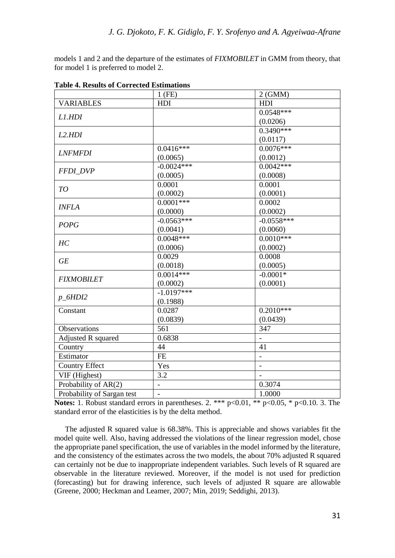models 1 and 2 and the departure of the estimates of *FIXMOBILET* in GMM from theory, that for model 1 is preferred to model 2.

|                            | $1$ (FE)               | $2$ (GMM)        |
|----------------------------|------------------------|------------------|
| <b>VARIABLES</b>           | <b>HDI</b>             | HDI              |
|                            |                        | $0.0548***$      |
| L1.HDI                     |                        | (0.0206)         |
|                            |                        | $0.3490***$      |
| L2.HDI                     |                        | (0.0117)         |
| <b>LNFMFDI</b>             | $0.0416***$            | $0.0076***$      |
|                            | (0.0065)               | (0.0012)         |
|                            | $-0.0024***$           | $0.0042***$      |
| FFDI_DVP                   | (0.0005)               | (0.0008)         |
| TO                         | 0.0001                 | 0.0001           |
|                            | (0.0002)               | (0.0001)         |
| <b>INFLA</b>               | $0.0001***$            | 0.0002           |
|                            | (0.0000)               | (0.0002)         |
| <b>POPG</b>                | $-0.0563***$           | $-0.0558***$     |
|                            | (0.0041)               | (0.0060)         |
| HC                         | $0.0048***$            | $0.0010***$      |
|                            | (0.0006)               | (0.0002)         |
| <b>GE</b>                  | 0.0029                 | 0.0008           |
|                            | (0.0018)               | (0.0005)         |
| <b>FIXMOBILET</b>          | $0.0014***$            | $-0.0001*$       |
|                            | (0.0002)               | (0.0001)         |
| $p\_6HDI2$                 | $-1.0197***$           |                  |
|                            | (0.1988)               |                  |
| Constant                   | 0.0287                 | $0.2010***$      |
|                            | (0.0839)               | (0.0439)         |
| <b>Observations</b>        | $\overline{561}$       | $\overline{347}$ |
| Adjusted R squared         | 0.6838                 |                  |
| Country                    | 44                     | 41               |
| Estimator                  | $\overline{\text{FE}}$ | $\overline{a}$   |
| <b>Country Effect</b>      | Yes                    |                  |
| VIF (Highest)              | 3.2                    |                  |
| Probability of AR(2)       |                        | 0.3074           |
| Probability of Sargan test |                        | 1.0000           |

**Table 4. Results of Corrected Estimations** 

**Notes:** 1. Robust standard errors in parentheses. 2. \*\*\*  $p<0.01$ , \*\*  $p<0.05$ , \*  $p<0.10$ . 3. The standard error of the elasticities is by the delta method.

The adjusted R squared value is 68.38%. This is appreciable and shows variables fit the model quite well. Also, having addressed the violations of the linear regression model, chose the appropriate panel specification, the use of variables in the model informed by the literature, and the consistency of the estimates across the two models, the about 70% adjusted R squared can certainly not be due to inappropriate independent variables. Such levels of R squared are observable in the literature reviewed. Moreover, if the model is not used for prediction (forecasting) but for drawing inference, such levels of adjusted R square are allowable (Greene, 2000; Heckman and Leamer, 2007; Min, 2019; Seddighi, 2013).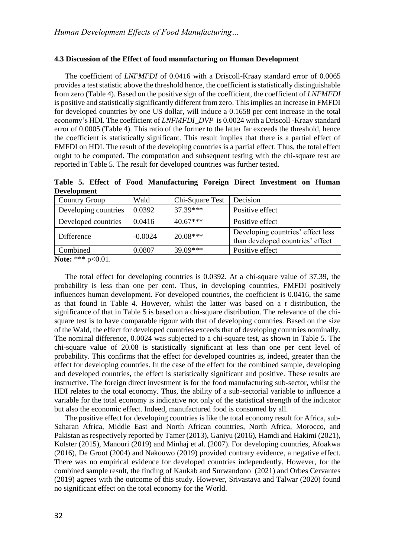## **4.3 Discussion of the Effect of food manufacturing on Human Development**

The coefficient of *LNFMFDI* of 0.0416 with a Driscoll-Kraay standard error of 0.0065 provides a test statistic above the threshold hence, the coefficient is statistically distinguishable from zero (Table 4). Based on the positive sign of the coefficient, the coefficient of *LNFMFDI* is positive and statistically significantly different from zero. This implies an increase in FMFDI for developed countries by one US dollar, will induce a 0.1658 per cent increase in the total economy's HDI. The coefficient of *LNFMFDI\_DVP* is 0.0024 with a Driscoll -Kraay standard error of 0.0005 (Table 4). This ratio of the former to the latter far exceeds the threshold, hence the coefficient is statistically significant. This result implies that there is a partial effect of FMFDI on HDI. The result of the developing countries is a partial effect. Thus, the total effect ought to be computed. The computation and subsequent testing with the chi-square test are reported in Table 5. The result for developed countries was further tested.

**Table 5. Effect of Food Manufacturing Foreign Direct Investment on Human Development** 

| <b>Country Group</b> | Wald      | Chi-Square Test | Decision                                                              |
|----------------------|-----------|-----------------|-----------------------------------------------------------------------|
| Developing countries | 0.0392    | $37.39***$      | Positive effect                                                       |
| Developed countries  | 0.0416    | $40.67***$      | Positive effect                                                       |
| Difference           | $-0.0024$ | $20.08***$      | Developing countries' effect less<br>than developed countries' effect |
| Combined             | 0.0807    | $39.09***$      | Positive effect                                                       |

**Note:** \*\*\* p<0.01.

The total effect for developing countries is 0.0392. At a chi-square value of 37.39, the probability is less than one per cent. Thus, in developing countries, FMFDI positively influences human development. For developed countries, the coefficient is 0.0416, the same as that found in Table 4. However, whilst the latter was based on a *t* distribution, the significance of that in Table 5 is based on a chi-square distribution. The relevance of the chisquare test is to have comparable rigour with that of developing countries. Based on the size of the Wald, the effect for developed countries exceeds that of developing countries nominally. The nominal difference, 0.0024 was subjected to a chi-square test, as shown in Table 5. The chi-square value of 20.08 is statistically significant at less than one per cent level of probability. This confirms that the effect for developed countries is, indeed, greater than the effect for developing countries. In the case of the effect for the combined sample, developing and developed countries, the effect is statistically significant and positive. These results are instructive. The foreign direct investment is for the food manufacturing sub-sector, whilst the HDI relates to the total economy. Thus, the ability of a sub-sectorial variable to influence a variable for the total economy is indicative not only of the statistical strength of the indicator but also the economic effect. Indeed, manufactured food is consumed by all.

The positive effect for developing countries is like the total economy result for Africa, sub-Saharan Africa, Middle East and North African countries, North Africa, Morocco, and Pakistan as respectively reported by Tamer (2013), Ganiyu (2016), Hamdi and Hakimi (2021), Kolster (2015), Manouri (2019) and Minhaj et al. (2007). For developing countries, Afoakwa (2016), De Groot (2004) and Nakouwo (2019) provided contrary evidence, a negative effect. There was no empirical evidence for developed countries independently. However, for the combined sample result, the finding of Kaukab and Surwandono (2021) and Orbes Cervantes (2019) agrees with the outcome of this study. However, Srivastava and Talwar (2020) found no significant effect on the total economy for the World.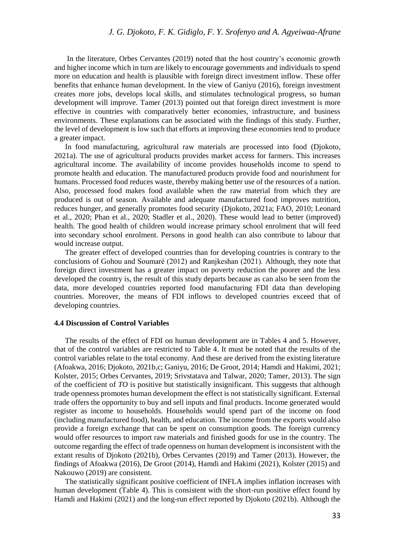In the literature, Orbes Cervantes (2019) noted that the host country's economic growth and higher income which in turn are likely to encourage governments and individuals to spend more on education and health is plausible with foreign direct investment inflow. These offer benefits that enhance human development. In the view of Ganiyu (2016), foreign investment creates more jobs, develops local skills, and stimulates technological progress, so human development will improve. Tamer (2013) pointed out that foreign direct investment is more effective in countries with comparatively better economies, infrastructure, and business environments. These explanations can be associated with the findings of this study. Further, the level of development is low such that efforts at improving these economies tend to produce a greater impact.

In food manufacturing, agricultural raw materials are processed into food (Djokoto, 2021a). The use of agricultural products provides market access for farmers. This increases agricultural income. The availability of income provides households income to spend to promote health and education. The manufactured products provide food and nourishment for humans. Processed food reduces waste, thereby making better use of the resources of a nation. Also, processed food makes food available when the raw material from which they are produced is out of season. Available and adequate manufactured food improves nutrition, reduces hunger, and generally promotes food security (Djokoto, 2021a; FAO, 2010; Leonard et al., 2020; Phan et al., 2020; Stadler et al., 2020). These would lead to better (improved) health. The good health of children would increase primary school enrolment that will feed into secondary school enrolment. Persons in good health can also contribute to labour that would increase output.

The greater effect of developed countries than for developing countries is contrary to the conclusions of Gohou and Soumaré (2012) and Ranjkeshan (2021). Although, they note that foreign direct investment has a greater impact on poverty reduction the poorer and the less developed the country is, the result of this study departs because as can also be seen from the data, more developed countries reported food manufacturing FDI data than developing countries. Moreover, the means of FDI inflows to developed countries exceed that of developing countries.

#### **4.4 Discussion of Control Variables**

The results of the effect of FDI on human development are in Tables 4 and 5. However, that of the control variables are restricted to Table 4. It must be noted that the results of the control variables relate to the total economy. And these are derived from the existing literature (Afoakwa, 2016; Djokoto, 2021b,c; Ganiyu, 2016; De Groot, 2014; Hamdi and Hakimi, 2021; Kolster, 2015; Orbes Cervantes, 2019; Srivstatava and Talwar, 2020; Tamer, 2013). The sign of the coefficient of *TO* is positive but statistically insignificant. This suggests that although trade openness promotes human development the effect is not statistically significant. External trade offers the opportunity to buy and sell inputs and final products. Income generated would register as income to households. Households would spend part of the income on food (including manufactured food), health, and education. The income from the exports would also provide a foreign exchange that can be spent on consumption goods. The foreign currency would offer resources to import raw materials and finished goods for use in the country. The outcome regarding the effect of trade openness on human development is inconsistent with the extant results of Djokoto (2021b), Orbes Cervantes (2019) and Tamer (2013). However, the findings of Afoakwa (2016), De Groot (2014), Hamdi and Hakimi (2021), Kolster (2015) and Nakouwo (2019) are consistent.

The statistically significant positive coefficient of INFLA implies inflation increases with human development (Table 4). This is consistent with the short-run positive effect found by Hamdi and Hakimi (2021) and the long-run effect reported by Djokoto (2021b). Although the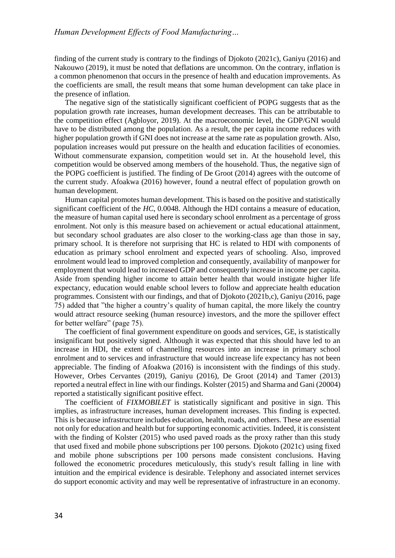finding of the current study is contrary to the findings of Djokoto (2021c), Ganiyu (2016) and Nakouwo (2019), it must be noted that deflations are uncommon. On the contrary, inflation is a common phenomenon that occurs in the presence of health and education improvements. As the coefficients are small, the result means that some human development can take place in the presence of inflation.

The negative sign of the statistically significant coefficient of POPG suggests that as the population growth rate increases, human development decreases. This can be attributable to the competition effect (Agbloyor, 2019). At the macroeconomic level, the GDP/GNI would have to be distributed among the population. As a result, the per capita income reduces with higher population growth if GNI does not increase at the same rate as population growth. Also, population increases would put pressure on the health and education facilities of economies. Without commensurate expansion, competition would set in. At the household level, this competition would be observed among members of the household. Thus, the negative sign of the POPG coefficient is justified. The finding of De Groot (2014) agrees with the outcome of the current study. Afoakwa (2016) however, found a neutral effect of population growth on human development.

Human capital promotes human development. This is based on the positive and statistically significant coefficient of the *HC*, 0.0048. Although the HDI contains a measure of education, the measure of human capital used here is secondary school enrolment as a percentage of gross enrolment. Not only is this measure based on achievement or actual educational attainment, but secondary school graduates are also closer to the working-class age than those in say, primary school. It is therefore not surprising that HC is related to HDI with components of education as primary school enrolment and expected years of schooling. Also, improved enrolment would lead to improved completion and consequently, availability of manpower for employment that would lead to increased GDP and consequently increase in income per capita. Aside from spending higher income to attain better health that would instigate higher life expectancy, education would enable school levers to follow and appreciate health education programmes. Consistent with our findings, and that of Djokoto (2021b,c), Ganiyu (2016, page 75) added that "the higher a country's quality of human capital, the more likely the country would attract resource seeking (human resource) investors, and the more the spillover effect for better welfare" (page 75).

The coefficient of final government expenditure on goods and services, GE, is statistically insignificant but positively signed. Although it was expected that this should have led to an increase in HDI, the extent of channelling resources into an increase in primary school enrolment and to services and infrastructure that would increase life expectancy has not been appreciable. The finding of Afoakwa (2016) is inconsistent with the findings of this study. However, Orbes Cervantes (2019), Ganiyu (2016), De Groot (2014) and Tamer (2013) reported a neutral effect in line with our findings. Kolster (2015) and Sharma and Gani (20004) reported a statistically significant positive effect.

The coefficient of *FIXMOBILET* is statistically significant and positive in sign. This implies, as infrastructure increases, human development increases. This finding is expected. This is because infrastructure includes education, health, roads, and others. These are essential not only for education and health but for supporting economic activities. Indeed, it is consistent with the finding of Kolster (2015) who used paved roads as the proxy rather than this study that used fixed and mobile phone subscriptions per 100 persons. Djokoto (2021c) using fixed and mobile phone subscriptions per 100 persons made consistent conclusions. Having followed the econometric procedures meticulously, this study's result falling in line with intuition and the empirical evidence is desirable. Telephony and associated internet services do support economic activity and may well be representative of infrastructure in an economy.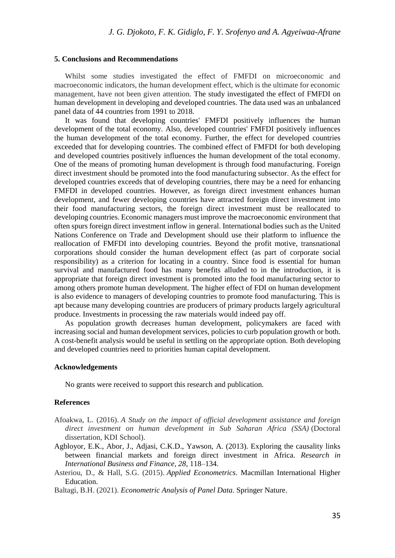#### **5. Conclusions and Recommendations**

Whilst some studies investigated the effect of FMFDI on microeconomic and macroeconomic indicators, the human development effect, which is the ultimate for economic management, have not been given attention. The study investigated the effect of FMFDI on human development in developing and developed countries. The data used was an unbalanced panel data of 44 countries from 1991 to 2018.

It was found that developing countries' FMFDI positively influences the human development of the total economy. Also, developed countries' FMFDI positively influences the human development of the total economy. Further, the effect for developed countries exceeded that for developing countries. The combined effect of FMFDI for both developing and developed countries positively influences the human development of the total economy. One of the means of promoting human development is through food manufacturing. Foreign direct investment should be promoted into the food manufacturing subsector. As the effect for developed countries exceeds that of developing countries, there may be a need for enhancing FMFDI in developed countries. However, as foreign direct investment enhances human development, and fewer developing countries have attracted foreign direct investment into their food manufacturing sectors, the foreign direct investment must be reallocated to developing countries. Economic managers must improve the macroeconomic environment that often spurs foreign direct investment inflow in general. International bodies such as the United Nations Conference on Trade and Development should use their platform to influence the reallocation of FMFDI into developing countries. Beyond the profit motive, transnational corporations should consider the human development effect (as part of corporate social responsibility) as a criterion for locating in a country. Since food is essential for human survival and manufactured food has many benefits alluded to in the introduction, it is appropriate that foreign direct investment is promoted into the food manufacturing sector to among others promote human development. The higher effect of FDI on human development is also evidence to managers of developing countries to promote food manufacturing. This is apt because many developing countries are producers of primary products largely agricultural produce. Investments in processing the raw materials would indeed pay off.

As population growth decreases human development, policymakers are faced with increasing social and human development services, policies to curb population growth or both. A cost-benefit analysis would be useful in settling on the appropriate option. Both developing and developed countries need to priorities human capital development.

#### **Acknowledgements**

No grants were received to support this research and publication.

#### **References**

- Afoakwa, L. (2016). *A Study on the impact of official development assistance and foreign direct investment on human development in Sub Saharan Africa (SSA)* (Doctoral dissertation, KDI School).
- Agbloyor, E.K., Abor, J., Adjasi, C.K.D., Yawson, A. (2013). Exploring the causality links between financial markets and foreign direct investment in Africa. *Research in International Business and Finance, 28*, 118–134.
- Asteriou, D., & Hall, S.G. (2015). *Applied Econometrics*. Macmillan International Higher Education.
- Baltagi, B.H. (2021). *Econometric Analysis of Panel Data*. Springer Nature.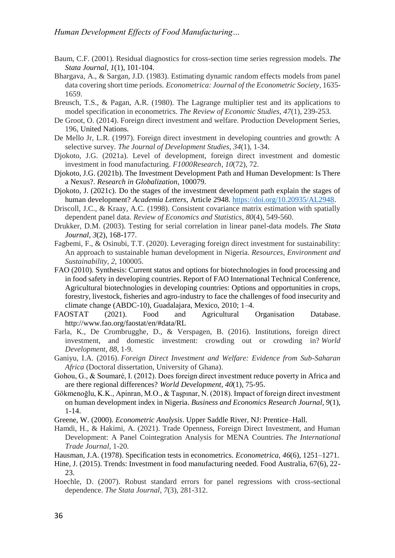- Baum, C.F. (2001). Residual diagnostics for cross-section time series regression models. *The Stata Journal*, *1*(1), 101-104.
- Bhargava, A., & Sargan, J.D. (1983). Estimating dynamic random effects models from panel data covering short time periods. *Econometrica: Journal of the Econometric Society*, 1635- 1659.
- Breusch, T.S., & Pagan, A.R. (1980). The Lagrange multiplier test and its applications to model specification in econometrics. *The Review of Economic Studies*, *47*(1), 239-253.
- De Groot, O. (2014). Foreign direct investment and welfare. Production Development Series, 196, United Nations.
- De Mello Jr, L.R. (1997). Foreign direct investment in developing countries and growth: A selective survey. *The Journal of Development Studies*, *34*(1), 1-34.
- Djokoto, J.G. (2021a). Level of development, foreign direct investment and domestic investment in food manufacturing. *F1000Research*, *10*(72), 72.
- Djokoto, J.G. (2021b). The Investment Development Path and Human Development: Is There a Nexus?. *Research in Globalization*, 100079.
- Djokoto, J. (2021c). Do the stages of the investment development path explain the stages of human development? *Academia Letters,* Article 2948. [https://doi.org/10.20935/AL2948.](https://doi.org/10.20935/AL2948)
- Driscoll, J.C., & Kraay, A.C. (1998). Consistent covariance matrix estimation with spatially dependent panel data. *Review of Economics and Statistics*, *80*(4), 549-560.
- Drukker, D.M. (2003). Testing for serial correlation in linear panel-data models. *The Stata Journal*, *3*(2), 168-177.
- Fagbemi, F., & Osinubi, T.T. (2020). Leveraging foreign direct investment for sustainability: An approach to sustainable human development in Nigeria. *Resources, Environment and Sustainability*, *2*, 100005.
- FAO (2010). Synthesis: Current status and options for biotechnologies in food processing and in food safety in developing countries. Report of FAO International Technical Conference, Agricultural biotechnologies in developing countries: Options and opportunities in crops, forestry, livestock, fisheries and agro-industry to face the challenges of food insecurity and climate change (ABDC-10), Guadalajara, Mexico, 2010; 1–4.
- FAOSTAT (2021). Food and Agricultural Organisation Database. <http://www.fao.org/faostat/en/#data/RL>
- Farla, K., De Crombrugghe, D., & Verspagen, B. (2016). Institutions, foreign direct investment, and domestic investment: crowding out or crowding in? *World Development*, *88*, 1-9.
- Ganiyu, I.A. (2016). *Foreign Direct Investment and Welfare: Evidence from Sub-Saharan Africa* (Doctoral dissertation, University of Ghana).
- Gohou, G., & Soumaré, I. (2012). Does foreign direct investment reduce poverty in Africa and are there regional differences? *World Development*, *40*(1), 75-95.
- Gökmenoğlu, K.K., Apinran, M.O., & Taşpınar, N. (2018). Impact of foreign direct investment on human development index in Nigeria. *Business and Economics Research Journal, 9*(1), 1-14.
- Greene, W. (2000). *Econometric Analysis*. Upper Saddle River, NJ: Prentice–Hall.
- Hamdi, H., & Hakimi, A. (2021). Trade Openness, Foreign Direct Investment, and Human Development: A Panel Cointegration Analysis for MENA Countries. *The International Trade Journal*, 1-20.
- Hausman, J.A. (1978). Specification tests in econometrics. *Econometrica, 46*(6), 1251–1271.
- Hine, J. (2015). Trends: Investment in food manufacturing needed. Food Australia, 67(6), 22- 23.
- Hoechle, D. (2007). Robust standard errors for panel regressions with cross-sectional dependence. *The Stata Journal*, *7*(3), 281-312.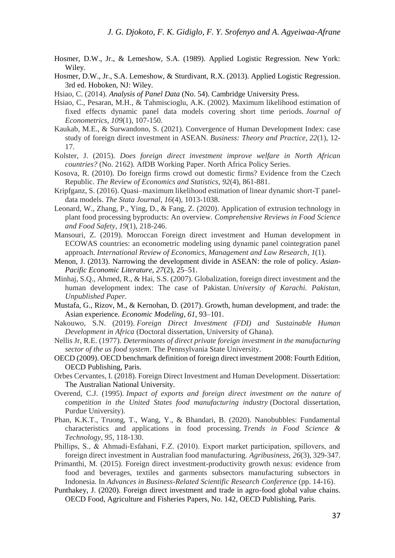- Hosmer, D.W., Jr., & Lemeshow, S.A. (1989). Applied Logistic Regression. New York: Wiley.
- Hosmer, D.W., Jr., S.A. Lemeshow, & Sturdivant, R.X. (2013). Applied Logistic Regression. 3rd ed. Hoboken, NJ: Wiley.
- Hsiao, C. (2014). *Analysis of Panel Data* (No. 54). Cambridge University Press.
- Hsiao, C., Pesaran, M.H., & Tahmiscioglu, A.K. (2002). Maximum likelihood estimation of fixed effects dynamic panel data models covering short time periods. *Journal of Econometrics*, *109*(1), 107-150.
- Kaukab, M.E., & Surwandono, S. (2021). Convergence of Human Development Index: case study of foreign direct investment in ASEAN. *Business: Theory and Practice*, *22*(1), 12- 17.
- Kolster, J. (2015). *Does foreign direct investment improve welfare in North African countries?* (No. 2162). AfDB Working Paper. North Africa Policy Series.
- Kosova, R. (2010). Do foreign firms crowd out domestic firms? Evidence from the Czech Republic. *The Review of Economics and Statistics*, *92*(4), 861-881.
- Kripfganz, S. (2016). Quasi–maximum likelihood estimation of linear dynamic short-T paneldata models. *The Stata Journal*, *16*(4), 1013-1038.
- Leonard, W., Zhang, P., Ying, D., & Fang, Z. (2020). Application of extrusion technology in plant food processing byproducts: An overview. *Comprehensive Reviews in Food Science and Food Safety*, *19*(1), 218-246.
- Mansouri, Z. (2019). Moroccan Foreign direct investment and Human development in ECOWAS countries: an econometric modeling using dynamic panel cointegration panel approach. *International Review of Economics, Management and Law Research*, *1*(1).
- Menon, J. (2013). Narrowing the development divide in ASEAN: the role of policy. *Asian-Pacific Economic Literature, 27*(2), 25–51.
- Minhaj, S.Q., Ahmed, R., & Hai, S.S. (2007). Globalization, foreign direct investment and the human development index: The case of Pakistan. *University of Karachi. Pakistan, Unpublished Paper*.
- Mustafa, G., Rizov, M., & Kernohan, D. (2017). Growth, human development, and trade: the Asian experience. *Economic Modeling*, *61*, 93–101.
- Nakouwo, S.N. (2019). *Foreign Direct Investment (FDI) and Sustainable Human Development in Africa* (Doctoral dissertation, University of Ghana).
- Nellis Jr, R.E. (1977). *Determinants of direct private foreign investment in the manufacturing sector of the us food system*. The Pennsylvania State University.
- OECD (2009). OECD benchmark definition of foreign direct investment 2008: Fourth Edition, OECD Publishing, Paris.
- Orbes Cervantes, I. (2018). Foreign Direct Investment and Human Development. Dissertation: The Australian National University.
- Overend, C.J. (1995). *Impact of exports and foreign direct investment on the nature of competition in the United States food manufacturing industry* (Doctoral dissertation, Purdue University).
- Phan, K.K.T., Truong, T., Wang, Y., & Bhandari, B. (2020). Nanobubbles: Fundamental characteristics and applications in food processing. *Trends in Food Science & Technology*, *95*, 118-130.
- Phillips, S., & Ahmadi‐Esfahani, F.Z. (2010). Export market participation, spillovers, and foreign direct investment in Australian food manufacturing. *Agribusiness*, *26*(3), 329-347.
- Primanthi, M. (2015). Foreign direct investment-productivity growth nexus: evidence from food and beverages, textiles and garments subsectors manufacturing subsectors in Indonesia. In *Advances in Business-Related Scientific Research Conference* (pp. 14-16).
- Punthakey, J. (2020). Foreign direct investment and trade in agro-food global value chains. OECD Food, Agriculture and Fisheries Papers, No. 142, OECD Publishing, Paris.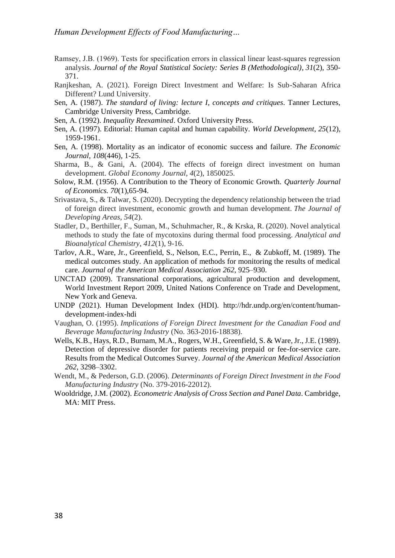- Ramsey, J.B. (1969). Tests for specification errors in classical linear least‐squares regression analysis. *Journal of the Royal Statistical Society: Series B (Methodological)*, *31*(2), 350- 371.
- Ranjkeshan, A. (2021). Foreign Direct Investment and Welfare: Is Sub-Saharan Africa Different? Lund University.
- Sen, A. (1987). *The standard of living: lecture I, concepts and critiques*. Tanner Lectures, Cambridge University Press, Cambridge.
- Sen, A. (1992). *Inequality Reexamined*. Oxford University Press.
- Sen, A. (1997). Editorial: Human capital and human capability. *World Development, 25*(12), 1959-1961.
- Sen, A. (1998). Mortality as an indicator of economic success and failure. *The Economic Journal, 108*(446), 1-25.
- Sharma, B., & Gani, A. (2004). The effects of foreign direct investment on human development. *Global Economy Journal*, *4*(2), 1850025.
- Solow, R.M. (1956). A Contribution to the Theory of Economic Growth. *Quarterly Journal of Economics. 70*(1),65-94.
- Srivastava, S., & Talwar, S. (2020). Decrypting the dependency relationship between the triad of foreign direct investment, economic growth and human development. *The Journal of Developing Areas*, *54*(2).
- Stadler, D., Berthiller, F., Suman, M., Schuhmacher, R., & Krska, R. (2020). Novel analytical methods to study the fate of mycotoxins during thermal food processing. *Analytical and Bioanalytical Chemistry*, *412*(1), 9-16.
- Tarlov, A.R., Ware, Jr., Greenfield, S., Nelson, E.C., Perrin, E., & Zubkoff, M. (1989). The medical outcomes study. An application of methods for monitoring the results of medical care. *Journal of the American Medical Association 262*, 925–930.
- UNCTAD (2009). Transnational corporations, agricultural production and development, World Investment Report 2009, United Nations Conference on Trade and Development, New York and Geneva.
- UNDP (2021). Human Development Index (HDI). [http://hdr.undp.org/en/content/human](http://hdr.undp.org/en/content/human-development-index-hdi)[development-index-hdi](http://hdr.undp.org/en/content/human-development-index-hdi)
- Vaughan, O. (1995). *Implications of Foreign Direct Investment for the Canadian Food and Beverage Manufacturing Industry* (No. 363-2016-18838).
- Wells, K.B., Hays, R.D., Burnam, M.A., Rogers, W.H., Greenfield, S. & Ware, Jr., J.E. (1989). Detection of depressive disorder for patients receiving prepaid or fee-for-service care. Results from the Medical Outcomes Survey. *Journal of the American Medical Association 262*, 3298–3302.
- Wendt, M., & Pederson, G.D. (2006). *Determinants of Foreign Direct Investment in the Food Manufacturing Industry* (No. 379-2016-22012).
- Wooldridge, J.M. (2002). *Econometric Analysis of Cross Section and Panel Data*. Cambridge, MA: MIT Press.